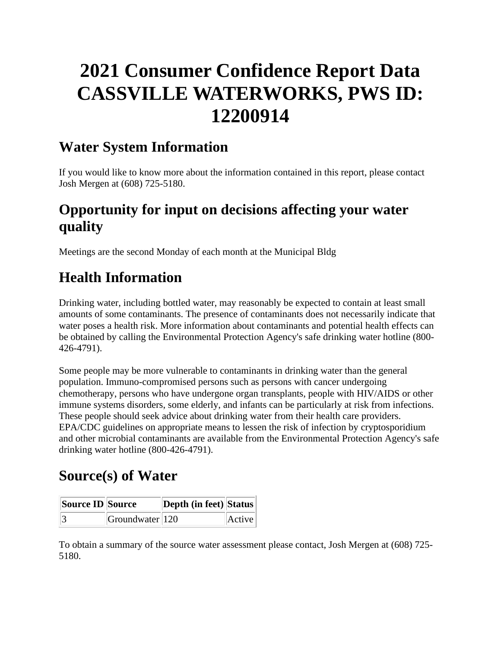# **2021 Consumer Confidence Report Data CASSVILLE WATERWORKS, PWS ID: 12200914**

#### **Water System Information**

If you would like to know more about the information contained in this report, please contact Josh Mergen at (608) 725-5180.

## **Opportunity for input on decisions affecting your water quality**

Meetings are the second Monday of each month at the Municipal Bldg

## **Health Information**

Drinking water, including bottled water, may reasonably be expected to contain at least small amounts of some contaminants. The presence of contaminants does not necessarily indicate that water poses a health risk. More information about contaminants and potential health effects can be obtained by calling the Environmental Protection Agency's safe drinking water hotline (800- 426-4791).

Some people may be more vulnerable to contaminants in drinking water than the general population. Immuno-compromised persons such as persons with cancer undergoing chemotherapy, persons who have undergone organ transplants, people with HIV/AIDS or other immune systems disorders, some elderly, and infants can be particularly at risk from infections. These people should seek advice about drinking water from their health care providers. EPA/CDC guidelines on appropriate means to lessen the risk of infection by cryptosporidium and other microbial contaminants are available from the Environmental Protection Agency's safe drinking water hotline (800-426-4791).

## **Source(s) of Water**

| Source ID Source |                        | Depth (in feet) Status |        |
|------------------|------------------------|------------------------|--------|
|                  | $ G$ roundwater $ 120$ |                        | Active |

To obtain a summary of the source water assessment please contact, Josh Mergen at (608) 725- 5180.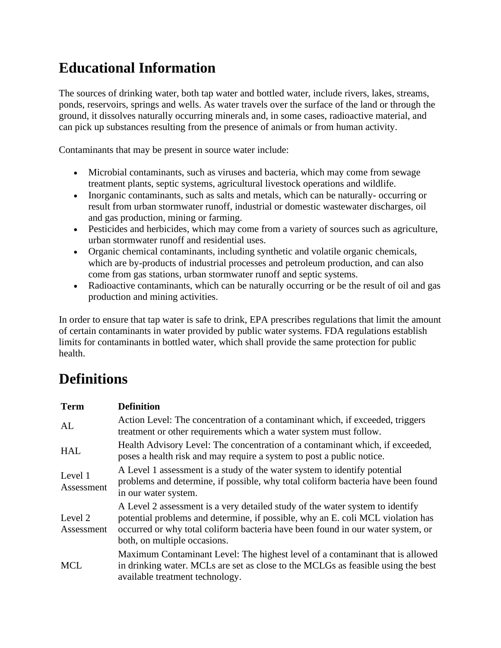## **Educational Information**

The sources of drinking water, both tap water and bottled water, include rivers, lakes, streams, ponds, reservoirs, springs and wells. As water travels over the surface of the land or through the ground, it dissolves naturally occurring minerals and, in some cases, radioactive material, and can pick up substances resulting from the presence of animals or from human activity.

Contaminants that may be present in source water include:

- Microbial contaminants, such as viruses and bacteria, which may come from sewage treatment plants, septic systems, agricultural livestock operations and wildlife.
- Inorganic contaminants, such as salts and metals, which can be naturally-occurring or result from urban stormwater runoff, industrial or domestic wastewater discharges, oil and gas production, mining or farming.
- Pesticides and herbicides, which may come from a variety of sources such as agriculture, urban stormwater runoff and residential uses.
- Organic chemical contaminants, including synthetic and volatile organic chemicals, which are by-products of industrial processes and petroleum production, and can also come from gas stations, urban stormwater runoff and septic systems.
- Radioactive contaminants, which can be naturally occurring or be the result of oil and gas production and mining activities.

In order to ensure that tap water is safe to drink, EPA prescribes regulations that limit the amount of certain contaminants in water provided by public water systems. FDA regulations establish limits for contaminants in bottled water, which shall provide the same protection for public health.

# **Definitions**

| <b>Term</b>           | <b>Definition</b>                                                                                                                                                                                                                                                                   |
|-----------------------|-------------------------------------------------------------------------------------------------------------------------------------------------------------------------------------------------------------------------------------------------------------------------------------|
| AL                    | Action Level: The concentration of a contaminant which, if exceeded, triggers<br>treatment or other requirements which a water system must follow.                                                                                                                                  |
| <b>HAL</b>            | Health Advisory Level: The concentration of a contaminant which, if exceeded,<br>poses a health risk and may require a system to post a public notice.                                                                                                                              |
| Level 1<br>Assessment | A Level 1 assessment is a study of the water system to identify potential<br>problems and determine, if possible, why total coliform bacteria have been found<br>in our water system.                                                                                               |
| Level 2<br>Assessment | A Level 2 assessment is a very detailed study of the water system to identify<br>potential problems and determine, if possible, why an E. coli MCL violation has<br>occurred or why total coliform bacteria have been found in our water system, or<br>both, on multiple occasions. |
| <b>MCL</b>            | Maximum Contaminant Level: The highest level of a contaminant that is allowed<br>in drinking water. MCLs are set as close to the MCLGs as feasible using the best<br>available treatment technology.                                                                                |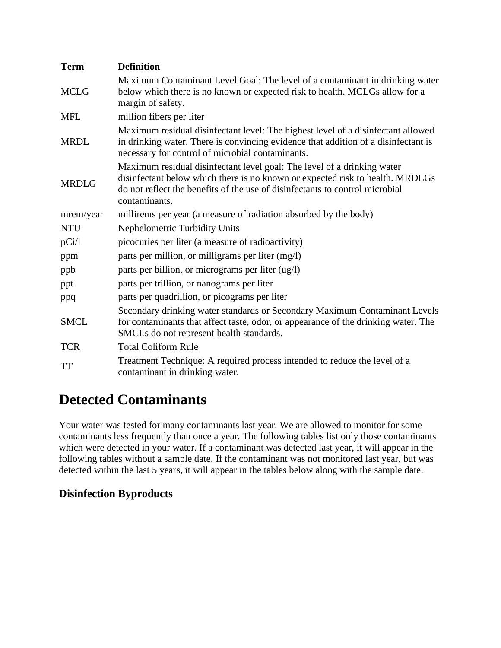| <b>Term</b>  | <b>Definition</b>                                                                                                                                                                                                                                         |
|--------------|-----------------------------------------------------------------------------------------------------------------------------------------------------------------------------------------------------------------------------------------------------------|
| <b>MCLG</b>  | Maximum Contaminant Level Goal: The level of a contaminant in drinking water<br>below which there is no known or expected risk to health. MCLGs allow for a<br>margin of safety.                                                                          |
| <b>MFL</b>   | million fibers per liter                                                                                                                                                                                                                                  |
| <b>MRDL</b>  | Maximum residual disinfectant level: The highest level of a disinfectant allowed<br>in drinking water. There is convincing evidence that addition of a disinfectant is<br>necessary for control of microbial contaminants.                                |
| <b>MRDLG</b> | Maximum residual disinfectant level goal: The level of a drinking water<br>disinfectant below which there is no known or expected risk to health. MRDLGs<br>do not reflect the benefits of the use of disinfectants to control microbial<br>contaminants. |
| mrem/year    | millirems per year (a measure of radiation absorbed by the body)                                                                                                                                                                                          |
| <b>NTU</b>   | Nephelometric Turbidity Units                                                                                                                                                                                                                             |
| pCi/1        | picocuries per liter (a measure of radioactivity)                                                                                                                                                                                                         |
| ppm          | parts per million, or milligrams per liter (mg/l)                                                                                                                                                                                                         |
| ppb          | parts per billion, or micrograms per liter (ug/l)                                                                                                                                                                                                         |
| ppt          | parts per trillion, or nanograms per liter                                                                                                                                                                                                                |
| ppq          | parts per quadrillion, or picograms per liter                                                                                                                                                                                                             |
| <b>SMCL</b>  | Secondary drinking water standards or Secondary Maximum Contaminant Levels<br>for contaminants that affect taste, odor, or appearance of the drinking water. The<br>SMCLs do not represent health standards.                                              |
| <b>TCR</b>   | <b>Total Coliform Rule</b>                                                                                                                                                                                                                                |
| <b>TT</b>    | Treatment Technique: A required process intended to reduce the level of a<br>contaminant in drinking water.                                                                                                                                               |

## **Detected Contaminants**

Your water was tested for many contaminants last year. We are allowed to monitor for some contaminants less frequently than once a year. The following tables list only those contaminants which were detected in your water. If a contaminant was detected last year, it will appear in the following tables without a sample date. If the contaminant was not monitored last year, but was detected within the last 5 years, it will appear in the tables below along with the sample date.

#### **Disinfection Byproducts**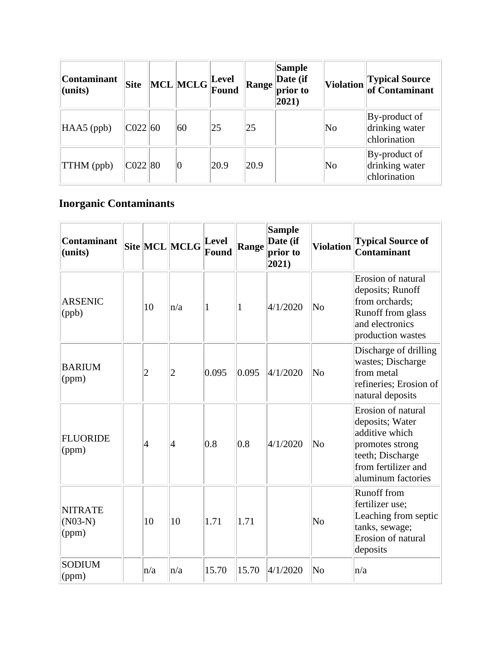| <b>Contaminant</b><br>$l$ (units) | <b>Site</b> | $\sqrt{\text{MCL}}$ MCLG $\sqrt{\text{Eovel}}$ |      | Range | <b>Sample</b><br>Date (if<br>prior to<br>$ 2021\rangle$ |                        | Violation Typical Source                        |
|-----------------------------------|-------------|------------------------------------------------|------|-------|---------------------------------------------------------|------------------------|-------------------------------------------------|
| $HAAS$ (ppb)                      | CO22 60     | 60                                             | 25   | 25    |                                                         | $\overline{\text{No}}$ | By-product of<br>drinking water<br>chlorination |
| <b>TTHM</b> (ppb)                 | CO22 80     | $\overline{0}$                                 | 20.9 | 20.9  |                                                         | $\overline{\text{No}}$ | By-product of<br>drinking water<br>chlorination |

#### **Inorganic Contaminants**

| <b>Contaminant</b><br>(units)        |                | Site MCL MCLG | <b>Level</b><br>Found | <b>Range</b> | <b>Sample</b><br>Date (if<br>prior to<br>2021) | <b>Violation</b>       | <b>Typical Source of</b><br><b>Contaminant</b>                                                                                              |
|--------------------------------------|----------------|---------------|-----------------------|--------------|------------------------------------------------|------------------------|---------------------------------------------------------------------------------------------------------------------------------------------|
| <b>ARSENIC</b><br>(ppb)              | 10             | n/a           | 1                     | 1            | 4/1/2020                                       | No                     | Erosion of natural<br>deposits; Runoff<br>from orchards;<br>Runoff from glass<br>and electronics<br>production wastes                       |
| <b>BARIUM</b><br>(ppm)               | $\overline{c}$ | 2             | 0.095                 | 0.095        | 4/1/2020                                       | No                     | Discharge of drilling<br>wastes; Discharge<br>from metal<br>refineries; Erosion of<br>natural deposits                                      |
| <b>FLUORIDE</b><br>(ppm)             | $\vert 4$      | 4             | 0.8                   | 0.8          | 4/1/2020                                       | No                     | Erosion of natural<br>deposits; Water<br>additive which<br>promotes strong<br>teeth; Discharge<br>from fertilizer and<br>aluminum factories |
| <b>NITRATE</b><br>$(N03-N)$<br>(ppm) | 10             | 10            | 1.71                  | 1.71         |                                                | No                     | <b>Runoff</b> from<br>fertilizer use;<br>Leaching from septic<br>tanks, sewage;<br>Erosion of natural<br>deposits                           |
| <b>SODIUM</b><br>(ppm)               | n/a            | n/a           | 15.70                 | 15.70        | 4/1/2020                                       | $\overline{\text{No}}$ | n/a                                                                                                                                         |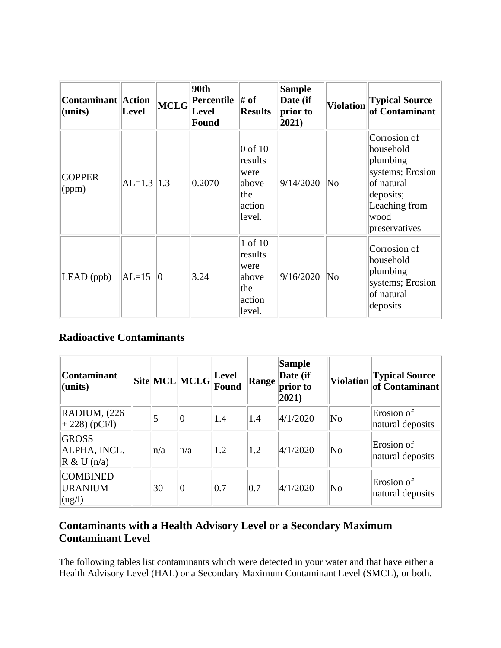| <b>Contaminant</b> Action<br>(units) | Level          | MCLG        | 90th<br>Percentile # of<br>Level<br><b>Found</b> | <b>Results</b>                                                   | <b>Sample</b><br>Date (if<br>prior to<br>2021) | <b>Violation</b>    | <b>Typical Source</b><br>of Contaminant                                                                                        |
|--------------------------------------|----------------|-------------|--------------------------------------------------|------------------------------------------------------------------|------------------------------------------------|---------------------|--------------------------------------------------------------------------------------------------------------------------------|
| <b>COPPER</b><br>(ppm)               | $AL=1.3$   1.3 |             | 0.2070                                           | $0$ of 10<br>results<br>were<br>above<br>the<br>action<br>level. | 9/14/2020                                      | $\overline{\rm No}$ | Corrosion of<br>household<br>plumbing<br>systems; Erosion<br>of natural<br>deposits;<br>Leaching from<br>wood<br>preservatives |
| $LEAD$ (ppb)                         | $AL=15$        | $ 0\rangle$ | 3.24                                             | 1 of 10<br>results<br>were<br>above<br>the<br>action<br>level.   | 9/16/2020                                      | $\overline{\rm No}$ | Corrosion of<br>household<br>plumbing<br>systems; Erosion<br>of natural<br>deposits                                            |

#### **Radioactive Contaminants**

| <b>Contaminant</b><br>$l$ (units)                          |         | $\  \text{Site} \ \text{MCL}\  \text{MCLG}\ _{\text{m}}^{\text{Level}}.$ | <b>Found</b> | <b>Range</b> | Sample<br>Date (if<br>prior to<br>$ 2021\rangle$ |    | Violation Typical Source       |
|------------------------------------------------------------|---------|--------------------------------------------------------------------------|--------------|--------------|--------------------------------------------------|----|--------------------------------|
| RADIUM, (226)<br>$+ 228$ ) (pCi/l)                         | 5       | 0                                                                        | 1.4          | 1.4          | 4/1/2020                                         | No | Erosion of<br>natural deposits |
| <b>GROSS</b><br>ALPHA, INCL.<br>$R \& U(n/a)$              | $\ln/a$ | n/a                                                                      | 1.2          | 1.2          | 4/1/2020                                         | No | Erosion of<br>natural deposits |
| <b>COMBINED</b><br><b>URANIUM</b><br>$\log$ <sup>1</sup> ) | 30      | $\overline{0}$                                                           | 0.7          | 0.7          | 4/1/2020                                         | No | Erosion of<br>natural deposits |

#### **Contaminants with a Health Advisory Level or a Secondary Maximum Contaminant Level**

The following tables list contaminants which were detected in your water and that have either a Health Advisory Level (HAL) or a Secondary Maximum Contaminant Level (SMCL), or both.